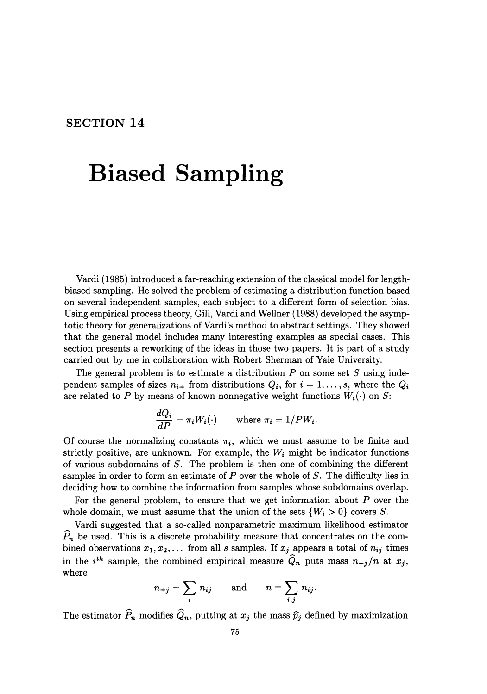## **SECTION 14**

## **Biased Sampling**

Vardi (1985) introduced a far-reaching extension of the classical model for lengthbiased sampling. He solved the problem of estimating a distribution function based on several independent samples, each subject to a different form of selection bias. Using empirical process theory, Gill, Vardi and Wellner (1988) developed the asymptotic theory for generalizations of Vardi's method to abstract settings. They showed that the general model includes many interesting examples as special cases. This section presents a reworking of the ideas in those two papers. It is part of a study carried out by me in collaboration with Robert Sherman of Yale University.

The general problem is to estimate a distribution *P* on some set *S* using independent samples of sizes  $n_{i+}$  from distributions  $Q_i$ , for  $i = 1, \ldots, s$ , where the  $Q_i$ are related to P by means of known nonnegative weight functions  $W_i(\cdot)$  on S:

$$
\frac{dQ_i}{dP} = \pi_i W_i(\cdot) \quad \text{where } \pi_i = 1/PW_i.
$$

Of course the normalizing constants  $\pi_i$ , which we must assume to be finite and strictly positive, are unknown. For example, the  $W_i$  might be indicator functions of various subdomains of *S.* The problem is then one of combining the different samples in order to form an estimate of  $P$  over the whole of  $S$ . The difficulty lies in deciding how to combine the information from samples whose subdomains overlap.

For the general problem, to ensure that we get information about *P* over the whole domain, we must assume that the union of the sets  $\{W_i > 0\}$  covers *S*.

Vardi suggested that a so-called nonparametric maximum likelihood estimator  $\widehat{P}_n$  be used. This is a discrete probability measure that concentrates on the combined observations  $x_1, x_2, \ldots$  from all s samples. If  $x_j$  appears a total of  $n_{ij}$  times in the  $i^{th}$  sample, the combined empirical measure  $\hat{Q}_n$  puts mass  $n_{+j}/n$  at  $x_j$ , where

$$
n_{+j} = \sum_i n_{ij} \quad \text{and} \quad n = \sum_{i,j} n_{ij}.
$$

The estimator  $\widehat{P}_n$  modifies  $\widehat{Q}_n$ , putting at  $x_j$  the mass  $\widehat{p}_j$  defined by maximization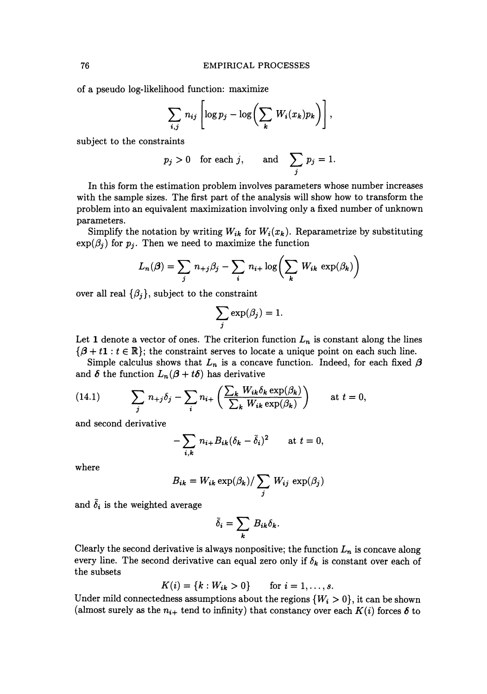of a pseudo log-likelihood function: maximize

$$
\sum_{i,j} n_{ij} \left[ \log p_j - \log \left( \sum_k W_i(x_k) p_k \right) \right],
$$

subject to the constraints

$$
p_j > 0
$$
 for each j, and  $\sum_j p_j = 1$ .

In this form the estimation problem involves parameters whose number increases with the sample sizes. The first part of the analysis will show how to transform the problem into an equivalent maximization involving only a fixed number of unknown parameters.

Simplify the notation by writing  $W_{ik}$  for  $W_i(x_k)$ . Reparametrize by substituting  $\exp(\beta_i)$  for  $p_i$ . Then we need to maximize the function

$$
L_n(\beta) = \sum_j n_{+j}\beta_j - \sum_i n_{i+} \log \left( \sum_k W_{ik} \exp(\beta_k) \right)
$$

over all real  $\{\beta_j\}$ , subject to the constraint

$$
\sum_j \exp(\beta_j) = 1.
$$

Let 1 denote a vector of ones. The criterion function  $L_n$  is constant along the lines  $\{\beta + t\mathbf{1} : t \in \mathbb{R}\}$ ; the constraint serves to locate a unique point on each such line.

Simple calculus shows that  $L_n$  is a concave function. Indeed, for each fixed  $\beta$ and  $\delta$  the function  $L_n(\beta + t\delta)$  has derivative

(14.1) 
$$
\sum_{j} n_{+j} \delta_j - \sum_{i} n_{i+} \left( \frac{\sum_{k} W_{ik} \delta_k \exp(\beta_k)}{\sum_{k} W_{ik} \exp(\beta_k)} \right) \quad \text{at } t = 0,
$$

and second derivative

$$
-\sum_{i,k} n_{i+} B_{ik} (\delta_k - \bar{\delta}_i)^2 \quad \text{at } t = 0,
$$

where

$$
B_{ik} = W_{ik} \exp(\beta_k) / \sum_j W_{ij} \exp(\beta_j)
$$

and  $\bar{\delta}_i$  is the weighted average

$$
\bar{\delta}_i = \sum_k B_{ik} \delta_k.
$$

Clearly the second derivative is always nonpositive; the function  $L_n$  is concave along every line. The second derivative can equal zero only if  $\delta_k$  is constant over each of the subsets

$$
K(i) = \{k : W_{ik} > 0\} \quad \text{for } i = 1, ..., s.
$$

Under mild connectedness assumptions about the regions  $\{W_i > 0\}$ , it can be shown (almost surely as the  $n_{i+}$  tend to infinity) that constancy over each  $K(i)$  forces  $\delta$  to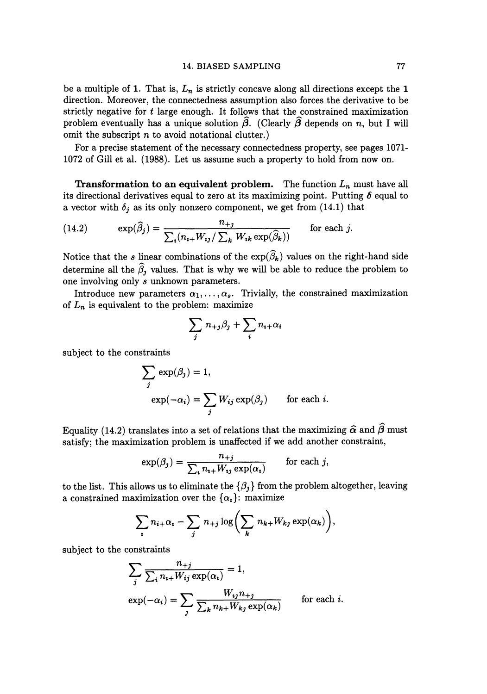be a multiple of 1. That is,  $L_n$  is strictly concave along all directions except the 1 direction. Moreover, the connectedness assumption also forces the derivative to be strictly negative for t large enough. It follows that the constrained maximization problem eventually has a unique solution  $\widehat{\beta}$ . (Clearly  $\widehat{\beta}$  depends on *n*, but I will omit the subscript *n* to avoid notational clutter.)

For a precise statement of the necessary connectedness property, see pages 1071- 1072 of Gillet al. (1988). Let us assume such a property to hold from now on.

**Transformation to an equivalent problem.** The function *Ln* must have all its directional derivatives equal to zero at its maximizing point. Putting  $\delta$  equal to a vector with  $\delta_j$  as its only nonzero component, we get from (14.1) that

(14.2) 
$$
\exp(\widehat{\beta}_j) = \frac{n_{+j}}{\sum_i (n_{i+}W_{ij}/\sum_k W_{ik} \exp(\widehat{\beta}_k))}
$$
 for each j.

Notice that the *s* linear combinations of the  $\exp(\widehat{\beta}_k)$  values on the right-hand side determine all the  $\hat{\beta}_1$  values. That is why we will be able to reduce the problem to one involving only *s* unknown parameters.

Introduce new parameters  $\alpha_1, \ldots, \alpha_s$ . Trivially, the constrained maximization of  $L_n$  is equivalent to the problem: maximize

$$
\sum_j n_{+j}\beta_j + \sum_i n_{i+}\alpha_i
$$

subject to the constraints

$$
\sum_{j} \exp(\beta_j) = 1,
$$
  
 
$$
\exp(-\alpha_i) = \sum_{j} W_{ij} \exp(\beta_j) \quad \text{for each } i.
$$

Equality (14.2) translates into a set of relations that the maximizing  $\hat{\alpha}$  and  $\hat{\beta}$  must satisfy; the maximization problem is unaffected if we add another constraint,

$$
\exp(\beta_j) = \frac{n_{+j}}{\sum_i n_{i+} W_{ij} \exp(\alpha_i)} \quad \text{for each } j,
$$

to the list. This allows us to eliminate the  $\{\beta_i\}$  from the problem altogether, leaving a constrained maximization over the  $\{\alpha_i\}$ : maximize

$$
\sum_i n_{i+} \alpha_i - \sum_j n_{+j} \log \biggl( \sum_k n_{k+} W_{kj} \exp(\alpha_k) \biggr),
$$

subject to the constraints

$$
\sum_{j} \frac{n_{+j}}{\sum_{i} n_{i+} W_{ij} \exp(\alpha_i)} = 1,
$$
  
\n
$$
\exp(-\alpha_i) = \sum_{j} \frac{W_{ij} n_{+j}}{\sum_{k} n_{k+} W_{kj} \exp(\alpha_k)} \quad \text{for each } i.
$$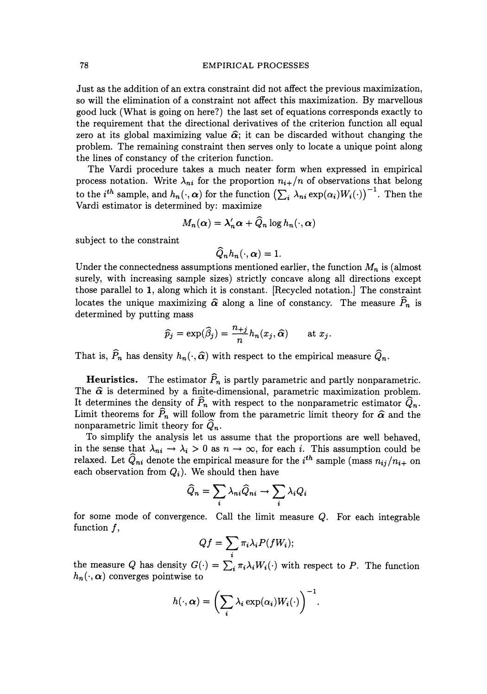Just as the addition of an extra constraint did not affect the previous maximization, so will the elimination of a constraint not affect this maximization. By marvellous good luck (What is going on here?) the last set of equations corresponds exactly to the requirement that the directional derivatives of the criterion function all equal zero at its global maximizing value  $\hat{\alpha}$ ; it can be discarded without changing the problem. The remaining constraint then serves only to locate a unique point along the lines of constancy of the criterion function.

The Vardi procedure takes a much neater form when expressed in empirical process notation. Write  $\lambda_{ni}$  for the proportion  $n_{i+}/n$  of observations that belong to the *i*<sup>th</sup> sample, and  $h_n(\cdot, \alpha)$  for the function  $\left(\sum_i \lambda_{ni} \exp(\alpha_i)W_i(\cdot)\right)^{-1}$ . Then the Vardi estimator is determined by: maximize

$$
M_n(\boldsymbol{\alpha}) = \lambda_n' \boldsymbol{\alpha} + \widehat{Q}_n \log h_n(\cdot, \boldsymbol{\alpha})
$$

subject to the constraint

$$
\widehat{Q}_n h_n(\cdot,\boldsymbol{\alpha})=1.
$$

Under the connectedness assumptions mentioned earlier, the function  $M_n$  is (almost surely, with increasing sample sizes) strictly concave along all directions except those parallel to **1,** along which it is constant. [Recycled notation.] The constraint locates the unique maximizing  $\hat{\alpha}$  along a line of constancy. The measure  $\hat{P}_n$  is determined by putting mass

$$
\widehat{p}_j = \exp(\widehat{\beta}_j) = \frac{n_{+j}}{n} h_n(x_j, \widehat{\alpha}) \quad \text{at } x_j.
$$

That is,  $\widehat{P}_n$  has density  $h_n(\cdot, \widehat{\alpha})$  with respect to the empirical measure  $\widehat{Q}_n$ .

**Heuristics.** The estimator  $\widehat{P}_n$  is partly parametric and partly nonparametric. The  $\hat{\alpha}$  is determined by a finite-dimensional, parametric maximization problem. It determines the density of  $\widehat{P}_n$  with respect to the nonparametric estimator  $\widehat{Q}_n$ . Limit theorems for  $\widehat{P}_n$  will follow from the parametric limit theory for  $\widehat{\alpha}$  and the nonparametric limit theory for  $\tilde{Q}_n$ .

To simplify the analysis let us assume that the proportions are well behaved, in the sense that  $\lambda_{ni} \to \lambda_i > 0$  as  $n \to \infty$ , for each i. This assumption could be relaxed. Let  $Q_{ni}$  denote the empirical measure for the  $i^{th}$  sample (mass  $n_{ij}/n_{i+}$  on each observation from  $Q_i$ ). We should then have

$$
\widehat{Q}_n = \sum_i \lambda_{ni} \widehat{Q}_{ni} \rightarrow \sum_i \lambda_i Q_i
$$

for some mode of convergence. Call the limit measure  $Q$ . For each integrable function  $f$ ,

$$
Qf = \sum_i \pi_i \lambda_i P(fW_i);
$$

the measure *Q* has density  $G(\cdot) = \sum_i \pi_i \lambda_i W_i(\cdot)$  with respect to *P*. The function  $h_n(\cdot, \alpha)$  converges pointwise to

$$
h(\cdot,\boldsymbol{\alpha})=\bigg(\sum_{i}\lambda_{i}\exp(\alpha_{i})W_{i}(\cdot)\bigg)^{-1}.
$$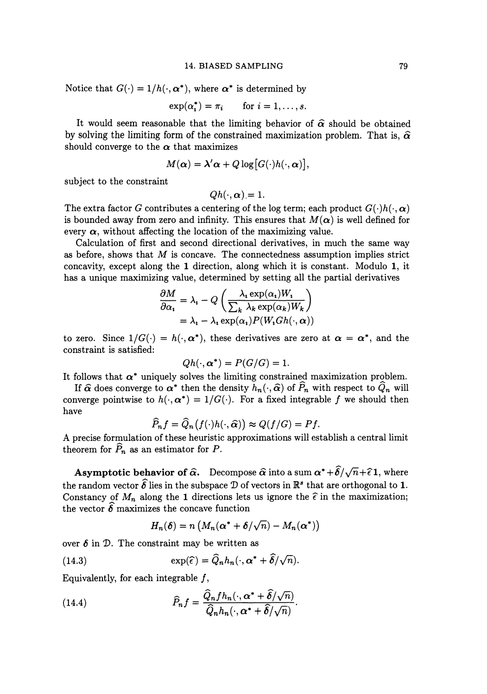Notice that  $G(\cdot) = 1/h(\cdot, \alpha^*)$ , where  $\alpha^*$  is determined by

$$
\exp(\alpha_i^*) = \pi_i \quad \text{for } i = 1, \dots, s.
$$

It would seem reasonable that the limiting behavior of  $\hat{\alpha}$  should be obtained by solving the limiting form of the constrained maximization problem. That is,  $\hat{\alpha}$ should converge to the  $\alpha$  that maximizes

$$
M(\boldsymbol{\alpha}) = \boldsymbol{\lambda}' \boldsymbol{\alpha} + Q \log [G(\cdot) h(\cdot, \boldsymbol{\alpha})],
$$

subject to the constraint

 $Oh(\cdot, \alpha) = 1.$ 

The extra factor G contributes a centering of the log term; each product  $G(\cdot)h(\cdot,\alpha)$ is bounded away from zero and infinity. This ensures that  $M(\alpha)$  is well defined for every  $\alpha$ , without affecting the location of the maximizing value.

Calculation of first and second directional derivatives, in much the same way as before, shows that  $M$  is concave. The connectedness assumption implies strict concavity, except along the 1 direction, along which it is constant. Modulo 1, it has a unique maximizing value, determined by setting all the partial derivatives

$$
\frac{\partial M}{\partial \alpha_i} = \lambda_i - Q \left( \frac{\lambda_i \exp(\alpha_i) W_i}{\sum_k \lambda_k \exp(\alpha_k) W_k} \right)
$$
  
=  $\lambda_i - \lambda_i \exp(\alpha_i) P(W_i G h(\cdot, \alpha))$ 

to zero. Since  $1/G(\cdot) = h(\cdot, \alpha^*)$ , these derivatives are zero at  $\alpha = \alpha^*$ , and the constraint is satisfied:

$$
Qh(\cdot, \boldsymbol{\alpha}^*)=P(G/G)=1.
$$

It follows that  $\alpha^*$  uniquely solves the limiting constrained maximization problem.

If  $\hat{\alpha}$  does converge to  $\alpha^*$  then the density  $h_n(\cdot, \hat{\alpha})$  of  $\hat{P}_n$  with respect to  $\hat{Q}_n$  will converge pointwise to  $h(\cdot, \alpha^*) = 1/G(\cdot)$ . For a fixed integrable f we should then have

$$
\widehat{P}_n f = \widehat{Q}_n(f(\cdot)h(\cdot,\widehat{\alpha})) \approx Q(f/G) = Pf.
$$

A precise formulation of these heuristic approximations will establish a central limit theorem for  $\widehat{P}_n$  as an estimator for *P*.

**Asymptotic behavior of**  $\hat{\alpha}$ **.** Decompose  $\hat{\alpha}$  into a sum  $\alpha^* + \hat{\delta}/\sqrt{n} + \hat{\epsilon}1$ , where the random vector  $\widehat{\delta}$  lies in the subspace  $\mathcal D$  of vectors in  $\mathbb R^s$  that are orthogonal to 1. Constancy of  $M_n$  along the 1 directions lets us ignore the  $\hat{\epsilon}$  in the maximization; the vector  $\hat{\delta}$  maximizes the concave function

$$
H_n(\boldsymbol{\delta}) = n \left( M_n(\boldsymbol{\alpha^*} + \boldsymbol{\delta}/\sqrt{n}) - M_n(\boldsymbol{\alpha^*}) \right)
$$

over  $\delta$  in  $\mathcal{D}$ . The constraint may be written as

(14.3) 
$$
\exp(\widehat{\epsilon}) = \widehat{Q}_n h_n(\cdot, \alpha^* + \widehat{\delta}/\sqrt{n}).
$$

Equivalently, for each integrable  $f$ ,

(14.4) 
$$
\widehat{P}_n f = \frac{\widehat{Q}_n f h_n(\cdot, \alpha^* + \widehat{\delta}/\sqrt{n})}{\widehat{Q}_n h_n(\cdot, \alpha^* + \widehat{\delta}/\sqrt{n})}.
$$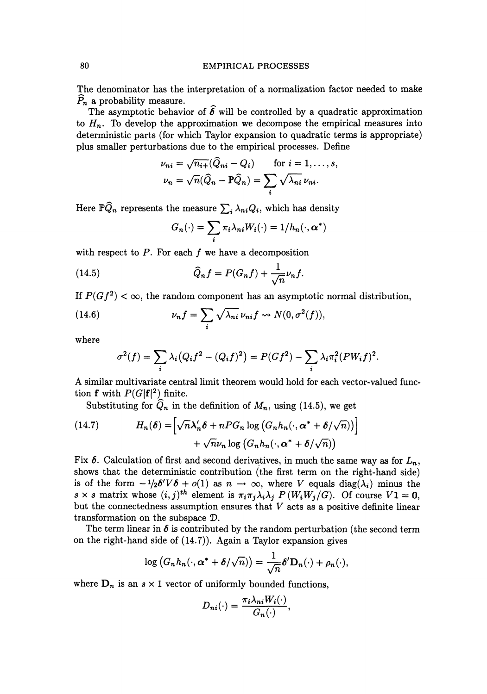## 80 EMPIRICAL PROCESSES

The denominator has the interpretation of a normalization factor needed to make  $\hat{P}_n$  a probability measure.

The asymptotic behavior of  $\hat{\delta}$  will be controlled by a quadratic approximation to  $H_n$ . To develop the approximation we decompose the empirical measures into deterministic parts (for which Taylor expansion to quadratic terms is appropriate) plus smaller perturbations due to the empirical processes. Define

$$
\nu_{ni} = \sqrt{n_{i+}}(\widehat{Q}_{ni} - Q_i) \quad \text{for } i = 1, ..., s,
$$
  

$$
\nu_n = \sqrt{n}(\widehat{Q}_n - \mathbb{P}\widehat{Q}_n) = \sum_i \sqrt{\lambda_{ni}} \nu_{ni}.
$$

Here  $\mathbb{P}\widehat{Q}_n$  represents the measure  $\sum_i \lambda_{ni} Q_i$ , which has density

$$
G_n(\cdot) = \sum_i \pi_i \lambda_{ni} W_i(\cdot) = 1/h_n(\cdot, \alpha^*)
$$

with respect to  $P$ . For each  $f$  we have a decomposition

(14.5) 
$$
\widehat{Q}_n f = P(G_n f) + \frac{1}{\sqrt{n}} \nu_n f.
$$

If  $P(Gf^2) < \infty$ , the random component has an asymptotic normal distribution,

(14.6) 
$$
\nu_n f = \sum_i \sqrt{\lambda_{ni}} \nu_{ni} f \rightsquigarrow N(0, \sigma^2(f)),
$$

where

$$
\sigma^{2}(f) = \sum_{i} \lambda_{i} (Q_{i}f^{2} - (Q_{i}f)^{2}) = P(Gf^{2}) - \sum_{i} \lambda_{i} \pi_{i}^{2} (PW_{i}f)^{2}.
$$

A similar multivariate central limit theorem would hold for each vector-valued function **f** with  $P(G|\mathbf{f}|^2)$  finite.

Substituting for  $\hat{Q}_n$  in the definition of  $M_n$ , using (14.5), we get

(14.7) 
$$
H_n(\delta) = \left[ \sqrt{n} \lambda_n' \delta + n P G_n \log \left( G_n h_n(\cdot, \alpha^* + \delta / \sqrt{n}) \right) \right] + \sqrt{n} \nu_n \log \left( G_n h_n(\cdot, \alpha^* + \delta / \sqrt{n}) \right)
$$

Fix  $\delta$ . Calculation of first and second derivatives, in much the same way as for  $L_n$ , shows that the deterministic contribution (the first term on the right-hand side) is of the form  $-\frac{1}{2}\delta'V\delta + o(1)$  as  $n \to \infty$ , where *V* equals diag( $\lambda_i$ ) minus the  $s \times s$  matrix whose  $(i, j)^{th}$  element is  $\pi_i \pi_j \lambda_i \lambda_j P(W_i W_j / G)$ . Of course  $V1 = 0$ , but the connectedness assumption ensures that  $V$  acts as a positive definite linear transformation on the subspace  $\mathcal{D}$ .

The term linear in  $\delta$  is contributed by the random perturbation (the second term on the right-hand side of (14.7)). Again a Taylor expansion gives

$$
\log\big(G_n h_n(\cdot,\boldsymbol{\alpha^*}+\boldsymbol{\delta}/\sqrt{n})\big)=\frac{1}{\sqrt{n}}\boldsymbol{\delta}'\mathbf{D}_n(\cdot)+\rho_n(\cdot),
$$

where  $D_n$  is an  $s \times 1$  vector of uniformly bounded functions,

$$
D_{ni}(\cdot) = \frac{\pi_i \lambda_{ni} W_i(\cdot)}{G_n(\cdot)},
$$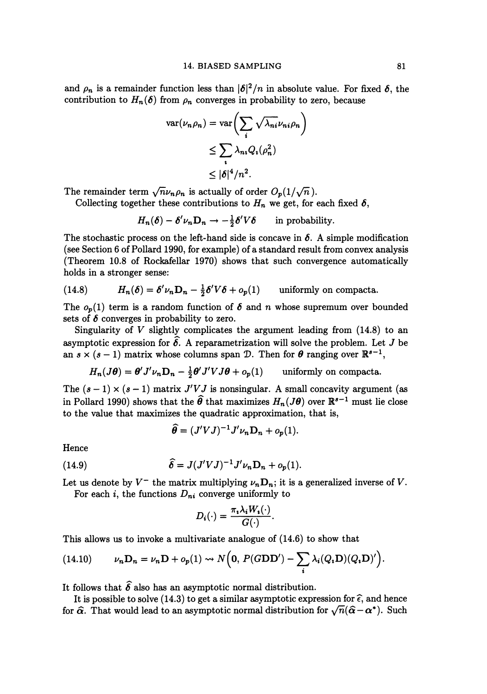and  $\rho_n$  is a remainder function less than  $|\delta|^2/n$  in absolute value. For fixed  $\delta$ , the contribution to  $H_n(\delta)$  from  $\rho_n$  converges in probability to zero, because

$$
\operatorname{var}(\nu_n \rho_n) = \operatorname{var}\left(\sum_i \sqrt{\lambda_{ni}} \nu_{ni} \rho_n\right)
$$
  

$$
\leq \sum_i \lambda_{ni} Q_i(\rho_n^2)
$$
  

$$
\leq |\delta|^4/n^2.
$$

The remainder term  $\sqrt{n}\nu_n\rho_n$  is actually of order  $O_p(1/\sqrt{n})$ .

Collecting together these contributions to  $H_n$  we get, for each fixed  $\delta$ ,

$$
H_n(\delta) - \delta' \nu_n \mathbf{D}_n \to -\frac{1}{2} \delta' V \delta \quad \text{in probability.}
$$

The stochastic process on the left-hand side is concave in  $\delta$ . A simple modification (see Section 6 of Pollard 1990, for example) of a standard result from convex analysis (Theorem 10.8 of Rockafellar 1970) shows that such convergence automatically holds in a stronger sense:

(14.8) 
$$
H_n(\delta) = \delta' \nu_n \mathbf{D}_n - \frac{1}{2} \delta' V \delta + o_p(1) \quad \text{uniformly on compacta.}
$$

The  $o_p(1)$  term is a random function of  $\delta$  and  $n$  whose supremum over bounded sets of  $\delta$  converges in probability to zero.

Singularity of  $V$  slightly complicates the argument leading from  $(14.8)$  to an asymptotic expression for  $\widehat{\delta}$ . A reparametrization will solve the problem. Let J be an  $s \times (s-1)$  matrix whose columns span D. Then for  $\theta$  ranging over  $\mathbb{R}^{s-1}$ ,

$$
H_n(J\theta) = \theta' J' \nu_n \mathbf{D}_n - \frac{1}{2} \theta' J' V J\theta + o_p(1) \quad \text{uniformly on compacta.}
$$

The  $(s-1) \times (s-1)$  matrix  $J'VJ$  is nonsingular. A small concavity argument (as in Pollard 1990) shows that the  $\widehat{\theta}$  that maximizes  $H_n(J\theta)$  over  $\mathbb{R}^{s-1}$  must lie close to the value that maximizes the quadratic approximation, that is,

$$
\widehat{\theta} = (J'VJ)^{-1}J'\nu_n\mathbf{D}_n + o_p(1).
$$

Hence

(14.9) 
$$
\hat{\delta} = J(J'VJ)^{-1}J'\nu_n \mathbf{D}_n + o_p(1).
$$

Let us denote by  $V^-$  the matrix multiplying  $\nu_n \mathbf{D}_n$ ; it is a generalized inverse of V.

For each *i*, the functions  $D_{ni}$  converge uniformly to

$$
D_i(\cdot) = \frac{\pi_i \lambda_i W_i(\cdot)}{G(\cdot)}.
$$

This allows us to invoke a multivariate analogue of (14.6) to show that

(14.10) 
$$
\nu_n \mathbf{D}_n = \nu_n \mathbf{D} + o_p(1) \rightsquigarrow N\Big(\mathbf{0}, P(G\mathbf{D}\mathbf{D}') - \sum_i \lambda_i (Q_i \mathbf{D}) (Q_i \mathbf{D})'\Big).
$$

It follows that  $\hat{\delta}$  also has an asymptotic normal distribution.

It is possible to solve (14.3) to get a similar asymptotic expression for  $\hat{\epsilon}$ , and hence for  $\hat{\alpha}$ . That would lead to an asymptotic normal distribution for  $\sqrt{n}(\hat{\alpha}-\alpha^*)$ . Such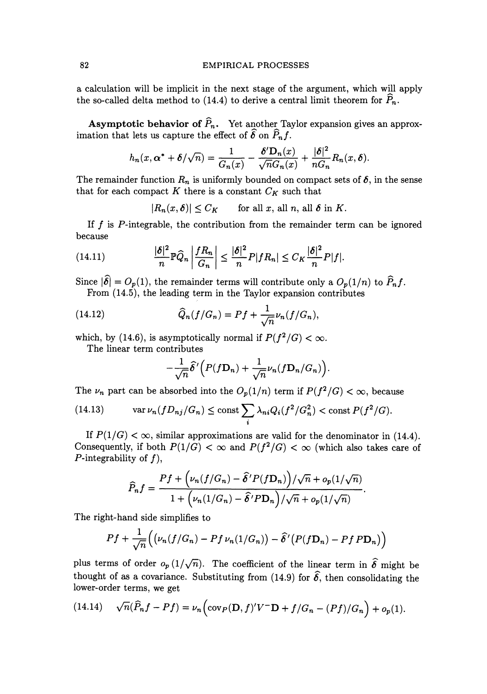## 82 EMPIRICAL PROCESSES

a calculation will be implicit in the next stage of the argument, which will apply the so-called delta method to (14.4) to derive a central limit theorem for  $P_n$ .

**Asymptotic behavior of**  $\widehat{P}_n$ **.** Yet another Taylor expansion gives an approximation that lets us capture the effect of  $\widehat{\delta}$  on  $\widehat{P}_n f$ .

$$
h_n(x, \alpha^* + \delta/\sqrt{n}) = \frac{1}{G_n(x)} - \frac{\delta' D_n(x)}{\sqrt{n} G_n(x)} + \frac{|\delta|^2}{n G_n} R_n(x, \delta).
$$

The remainder function  $R_n$  is uniformly bounded on compact sets of  $\delta$ , in the sense that for each compact K there is a constant  $C_K$  such that

$$
|R_n(x,\delta)| \leq C_K \qquad \text{for all } x, \text{ all } n, \text{ all } \delta \text{ in } K.
$$

If  $f$  is  $P$ -integrable, the contribution from the remainder term can be ignored because

(14.11) 
$$
\frac{|\delta|^2}{n} \mathbb{P}\widehat{Q}_n \left| \frac{fR_n}{G_n} \right| \leq \frac{|\delta|^2}{n} P|fR_n| \leq C_K \frac{|\delta|^2}{n} P|f|.
$$

Since  $|\hat{\delta}| = O_p(1)$ , the remainder terms will contribute only a  $O_p(1/n)$  to  $\hat{P}_n f$ . From (14.5), the leading term in the Taylor expansion contributes

(14.12) 
$$
\widehat{Q}_n(f/G_n) = Pf + \frac{1}{\sqrt{n}} \nu_n(f/G_n),
$$

which, by (14.6), is asymptotically normal if  $P(f^2/G) < \infty$ .

The linear term contributes

$$
-\frac{1}{\sqrt{n}}\widehat{\delta}'\Big(P(f\mathbf{D}_n)+\frac{1}{\sqrt{n}}\nu_n(f\mathbf{D}_n/G_n)\Big).
$$

The  $\nu_n$  part can be absorbed into the  $O_p(1/n)$  term if  $P(f^2/G) < \infty$ , because

(14.13) 
$$
\operatorname{var} \nu_n(fD_{nj}/G_n) \le \operatorname{const} \sum_i \lambda_{ni} Q_i(f^2/G_n^2) < \operatorname{const} P(f^2/G).
$$

If  $P(1/G) < \infty$ , similar approximations are valid for the denominator in (14.4). Consequently, if both  $P(1/G) < \infty$  and  $P(f^2/G) < \infty$  (which also takes care of ?-integrability of *f),* 

$$
\widehat{P}_n f = \frac{Pf + \left(\nu_n(f/G_n) - \widehat{\delta}'P(f\mathbf{D}_n)\right)/\sqrt{n} + o_p(1/\sqrt{n})}{1 + \left(\nu_n(1/G_n) - \widehat{\delta}'P\mathbf{D}_n\right)/\sqrt{n} + o_p(1/\sqrt{n})}.
$$

The right-hand side simplifies to

$$
Pf + \frac{1}{\sqrt{n}} \Big( \big(\nu_n(f/G_n) - Pf \nu_n(1/G_n) \big) - \widehat{\delta}' \big( P(f\mathbf{D}_n) - Pf \, P\mathbf{D}_n \big) \Big)
$$

plus terms of order  $o_p(1/\sqrt{n})$ . The coefficient of the linear term in  $\hat{\delta}$  might be thought of as a covariance. Substituting from (14.9) for  $\hat{\delta}$ , then consolidating the lower-order terms, we get

(14.14) 
$$
\sqrt{n}(\widehat{P}_n f - Pf) = \nu_n \left( \text{cov}_P(\mathbf{D}, f)' V^- \mathbf{D} + f/G_n - (Pf)/G_n \right) + o_p(1).
$$